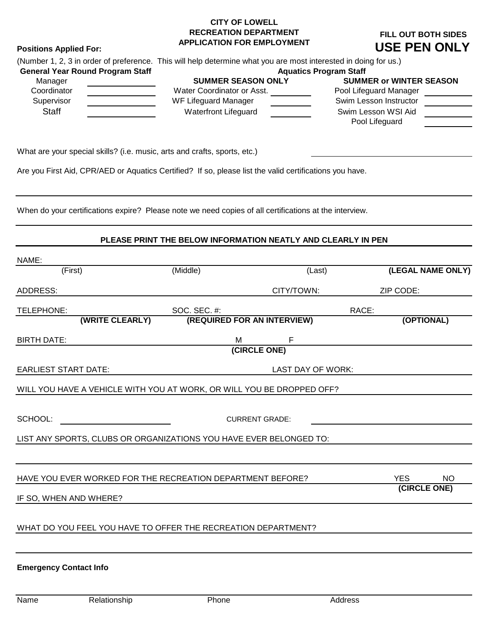# **CITY OF LOWELL RECREATION DEPARTMENT APPLICATION FOR EMPLOYMENT**

# **FILL OUT BOTH SIDES USE PEN ONLY**

| <b>General Year Round Program Staff</b> | (Number 1, 2, 3 in order of preference. This will help determine what you are most interested in doing for us.)<br><b>Aquatics Program Staff</b> |                                |  |
|-----------------------------------------|--------------------------------------------------------------------------------------------------------------------------------------------------|--------------------------------|--|
| Manager                                 | <b>SUMMER SEASON ONLY</b>                                                                                                                        | <b>SUMMER or WINTER SEASON</b> |  |
| Coordinator                             | Water Coordinator or Asst.                                                                                                                       | Pool Lifeguard Manager         |  |
| Supervisor                              | WF Lifeguard Manager                                                                                                                             | Swim Lesson Instructor         |  |
| <b>Staff</b>                            | <b>Waterfront Lifeguard</b>                                                                                                                      | Swim Lesson WSI Aid            |  |
|                                         |                                                                                                                                                  | Pool Lifeguard                 |  |

What are your special skills? (i.e. music, arts and crafts, sports, etc.)

**Positions Applied For:** 

Are you First Aid, CPR/AED or Aquatics Certified? If so, please list the valid certifications you have.

When do your certifications expire? Please note we need copies of all certifications at the interview.

#### **PLEASE PRINT THE BELOW INFORMATION NEATLY AND CLEARLY IN PEN**

| NAME:                                                                 |              |                             |                         |  |
|-----------------------------------------------------------------------|--------------|-----------------------------|-------------------------|--|
| (First)                                                               | (Middle)     | (Last)                      | (LEGAL NAME ONLY)       |  |
| ADDRESS:                                                              |              | CITY/TOWN:                  | ZIP CODE:               |  |
| TELEPHONE:                                                            | SOC. SEC. #: |                             | RACE:                   |  |
| (WRITE CLEARLY)                                                       |              | (REQUIRED FOR AN INTERVIEW) | (OPTIONAL)              |  |
| <b>BIRTH DATE:</b>                                                    | М            | F                           |                         |  |
|                                                                       |              | (CIRCLE ONE)                |                         |  |
| <b>EARLIEST START DATE:</b>                                           |              | <b>LAST DAY OF WORK:</b>    |                         |  |
| WILL YOU HAVE A VEHICLE WITH YOU AT WORK, OR WILL YOU BE DROPPED OFF? |              |                             |                         |  |
|                                                                       |              |                             |                         |  |
| SCHOOL:                                                               |              | <b>CURRENT GRADE:</b>       |                         |  |
| LIST ANY SPORTS, CLUBS OR ORGANIZATIONS YOU HAVE EVER BELONGED TO:    |              |                             |                         |  |
|                                                                       |              |                             |                         |  |
| HAVE YOU EVER WORKED FOR THE RECREATION DEPARTMENT BEFORE?            |              |                             | <b>YES</b><br><b>NO</b> |  |
| IF SO, WHEN AND WHERE?                                                |              |                             | (CIRCLE ONE)            |  |
|                                                                       |              |                             |                         |  |
| WHAT DO YOU FEEL YOU HAVE TO OFFER THE RECREATION DEPARTMENT?         |              |                             |                         |  |
|                                                                       |              |                             |                         |  |
| <b>Emergency Contact Info</b>                                         |              |                             |                         |  |